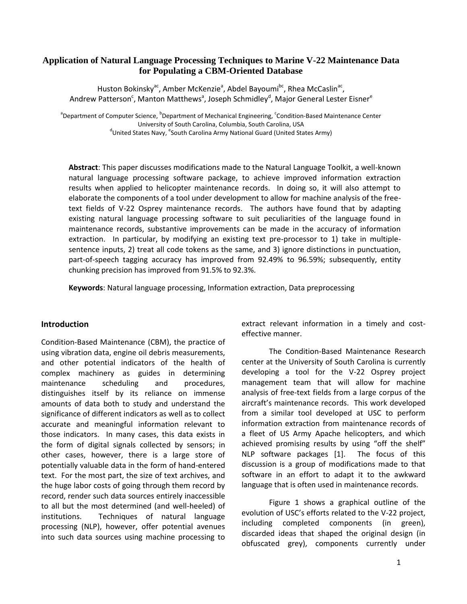## **Application of Natural Language Processing Techniques to Marine V-22 Maintenance Data for Populating a CBM-Oriented Database**

Huston Bokinsky<sup>ac</sup>, Amber McKenzie<sup>a</sup>, Abdel Bayoumi<sup>bc</sup>, Rhea McCaslin<sup>ac</sup>, Andrew Patterson<sup>c</sup>, Manton Matthews<sup>a</sup>, Joseph Schmidley<sup>d</sup>, Major General Lester Eisner<sup>e</sup>

<sup>a</sup>Department of Computer Science, <sup>b</sup>Department of Mechanical Engineering, <sup>c</sup>Condition-Based Maintenance Center University of South Carolina, Columbia, South Carolina, USA <sup>d</sup>United States Navy, <sup>e</sup>South Carolina Army National Guard (United States Army)

**Abstract**: This paper discusses modifications made to the Natural Language Toolkit, a well-known natural language processing software package, to achieve improved information extraction results when applied to helicopter maintenance records. In doing so, it will also attempt to elaborate the components of a tool under development to allow for machine analysis of the freetext fields of V-22 Osprey maintenance records. The authors have found that by adapting existing natural language processing software to suit peculiarities of the language found in maintenance records, substantive improvements can be made in the accuracy of information extraction. In particular, by modifying an existing text pre-processor to 1) take in multiplesentence inputs, 2) treat all code tokens as the same, and 3) ignore distinctions in punctuation, part-of-speech tagging accuracy has improved from 92.49% to 96.59%; subsequently, entity chunking precision has improved from 91.5% to 92.3%.

**Keywords**: Natural language processing, Information extraction, Data preprocessing

### **Introduction**

Condition-Based Maintenance (CBM), the practice of using vibration data, engine oil debris measurements, and other potential indicators of the health of complex machinery as guides in determining maintenance scheduling and procedures, distinguishes itself by its reliance on immense amounts of data both to study and understand the significance of different indicators as well as to collect accurate and meaningful information relevant to those indicators. In many cases, this data exists in the form of digital signals collected by sensors; in other cases, however, there is a large store of potentially valuable data in the form of hand-entered text. For the most part, the size of text archives, and the huge labor costs of going through them record by record, render such data sources entirely inaccessible to all but the most determined (and well-heeled) of institutions. Techniques of natural language processing (NLP), however, offer potential avenues into such data sources using machine processing to extract relevant information in a timely and costeffective manner.

The Condition-Based Maintenance Research center at the University of South Carolina is currently developing a tool for the V-22 Osprey project management team that will allow for machine analysis of free-text fields from a large corpus of the aircraft's maintenance records. This work developed from a similar tool developed at USC to perform information extraction from maintenance records of a fleet of US Army Apache helicopters, and which achieved promising results by using "off the shelf" NLP software packages [1]. The focus of this discussion is a group of modifications made to that software in an effort to adapt it to the awkward language that is often used in maintenance records.

Figure 1 shows a graphical outline of the evolution of USC's efforts related to the V-22 project, including completed components (in green), discarded ideas that shaped the original design (in obfuscated grey), components currently under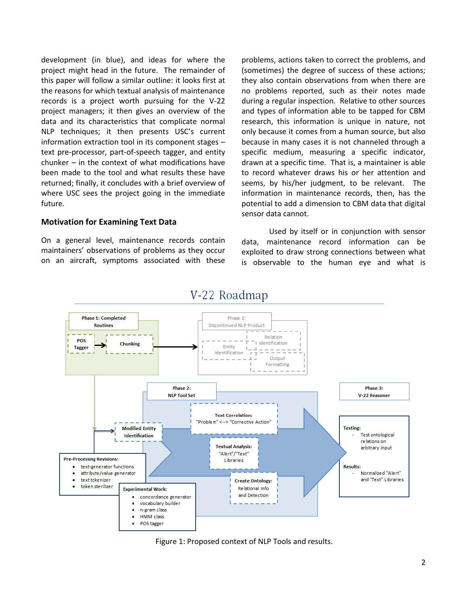development (in blue), and ideas for where the project might head in the future. The remainder of this paper will follow a similar outline: it looks first at the reasons for which textual analysis of maintenance records is a project worth pursuing for the V-22 project managers; it then gives an overview of the data and its characteristics that complicate normal NLP techniques; it then presents USC's current information extraction tool in its component stages – text pre-processor, part-of-speech tagger, and entity chunker – in the context of what modifications have been made to the tool and what results these have returned; finally, it concludes with a brief overview of where USC sees the project going in the immediate future.

## **Motivation for Examining Text Data**

On a general level, maintenance records contain maintainers' observations of problems as they occur on an aircraft, symptoms associated with these problems, actions taken to correct the problems, and (sometimes) the degree of success of these actions; they also contain observations from when there are no problems reported, such as their notes made during a regular inspection. Relative to other sources and types of information able to be tapped for CBM research, this information is unique in nature, not only because it comes from a human source, but also because in many cases it is not channeled through a specific medium, measuring a specific indicator, drawn at a specific time. That is, a maintainer is able to record whatever draws his or her attention and seems, by his/her judgment, to be relevant. The information in maintenance records, then, has the potential to add a dimension to CBM data that digital sensor data cannot.

Used by itself or in conjunction with sensor data, maintenance record information can be exploited to draw strong connections between what is observable to the human eye and what is



# V-22 Roadmap

Figure 1: Proposed context of NLP Tools and results.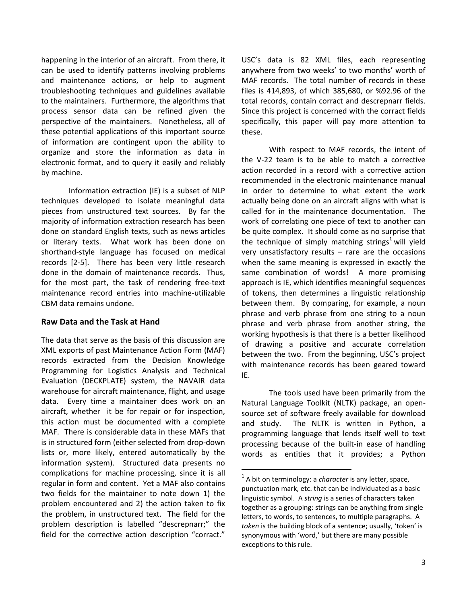happening in the interior of an aircraft. From there, it can be used to identify patterns involving problems and maintenance actions, or help to augment troubleshooting techniques and guidelines available to the maintainers. Furthermore, the algorithms that process sensor data can be refined given the perspective of the maintainers. Nonetheless, all of these potential applications of this important source of information are contingent upon the ability to organize and store the information as data in electronic format, and to query it easily and reliably by machine.

Information extraction (IE) is a subset of NLP techniques developed to isolate meaningful data pieces from unstructured text sources. By far the majority of information extraction research has been done on standard English texts, such as news articles or literary texts. What work has been done on shorthand-style language has focused on medical records [2-5]. There has been very little research done in the domain of maintenance records. Thus, for the most part, the task of rendering free-text maintenance record entries into machine-utilizable CBM data remains undone.

### **Raw Data and the Task at Hand**

The data that serve as the basis of this discussion are XML exports of past Maintenance Action Form (MAF) records extracted from the Decision Knowledge Programming for Logistics Analysis and Technical Evaluation (DECKPLATE) system, the NAVAIR data warehouse for aircraft maintenance, flight, and usage data. Every time a maintainer does work on an aircraft, whether it be for repair or for inspection, this action must be documented with a complete MAF. There is considerable data in these MAFs that is in structured form (either selected from drop-down lists or, more likely, entered automatically by the information system). Structured data presents no complications for machine processing, since it is all regular in form and content. Yet a MAF also contains two fields for the maintainer to note down 1) the problem encountered and 2) the action taken to fix the problem, in unstructured text. The field for the problem description is labelled "descrepnarr;" the field for the corrective action description "corract."

USC's data is 82 XML files, each representing anywhere from two weeks' to two months' worth of MAF records. The total number of records in these files is 414,893, of which 385,680, or %92.96 of the total records, contain corract and descrepnarr fields. Since this project is concerned with the corract fields specifically, this paper will pay more attention to these.

With respect to MAF records, the intent of the V-22 team is to be able to match a corrective action recorded in a record with a corrective action recommended in the electronic maintenance manual in order to determine to what extent the work actually being done on an aircraft aligns with what is called for in the maintenance documentation. The work of correlating one piece of text to another can be quite complex. It should come as no surprise that the technique of simply matching strings<sup>1</sup> will yield very unsatisfactory results  $-$  rare are the occasions when the same meaning is expressed in exactly the same combination of words! A more promising approach is IE, which identifies meaningful sequences of tokens, then determines a linguistic relationship between them. By comparing, for example, a noun phrase and verb phrase from one string to a noun phrase and verb phrase from another string, the working hypothesis is that there is a better likelihood of drawing a positive and accurate correlation between the two. From the beginning, USC's project with maintenance records has been geared toward IE.

The tools used have been primarily from the Natural Language Toolkit (NLTK) package, an opensource set of software freely available for download and study. The NLTK is written in Python, a programming language that lends itself well to text processing because of the built-in ease of handling words as entities that it provides; a Python

**.** 

<sup>&</sup>lt;sup>1</sup> A bit on terminology: a *character* is any letter, space, punctuation mark, etc. that can be individuated as a basic linguistic symbol. A *string* is a series of characters taken together as a grouping: strings can be anything from single letters, to words, to sentences, to multiple paragraphs. A *token* is the building block of a sentence; usually, 'token' is synonymous with 'word,' but there are many possible exceptions to this rule.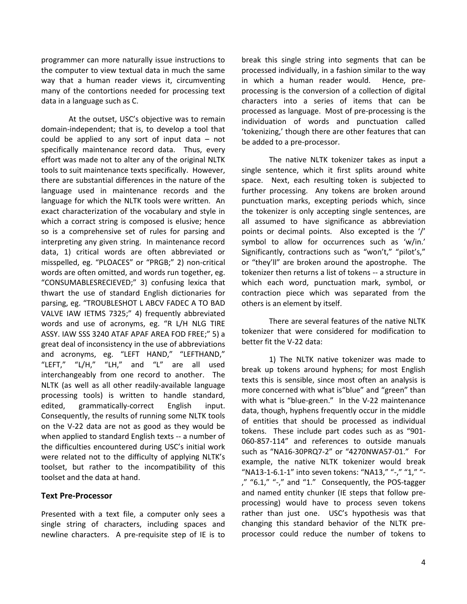programmer can more naturally issue instructions to the computer to view textual data in much the same way that a human reader views it, circumventing many of the contortions needed for processing text data in a language such as C.

At the outset, USC's objective was to remain domain-independent; that is, to develop a tool that could be applied to any sort of input data – not specifically maintenance record data. Thus, every effort was made not to alter any of the original NLTK tools to suit maintenance texts specifically. However, there are substantial differences in the nature of the language used in maintenance records and the language for which the NLTK tools were written. An exact characterization of the vocabulary and style in which a corract string is composed is elusive; hence so is a comprehensive set of rules for parsing and interpreting any given string. In maintenance record data, 1) critical words are often abbreviated or misspelled, eg. "PLOACES" or "PRGB;" 2) non-critical words are often omitted, and words run together, eg. "CONSUMABLESRECIEVED;" 3) confusing lexica that thwart the use of standard English dictionaries for parsing, eg. "TROUBLESHOT L ABCV FADEC A TO BAD VALVE IAW IETMS 7325;" 4) frequently abbreviated words and use of acronyms, eg. "R L/H NLG TIRE ASSY. IAW SSS 3240 ATAF APAF AREA FOD FREE;" 5) a great deal of inconsistency in the use of abbreviations and acronyms, eg. "LEFT HAND," "LEFTHAND," "LEFT," "L/H," "LH," and "L" are all used interchangeably from one record to another. The NLTK (as well as all other readily-available language processing tools) is written to handle standard, edited, grammatically-correct English input. Consequently, the results of running some NLTK tools on the V-22 data are not as good as they would be when applied to standard English texts -- a number of the difficulties encountered during USC's initial work were related not to the difficulty of applying NLTK's toolset, but rather to the incompatibility of this toolset and the data at hand.

### **Text Pre-Processor**

Presented with a text file, a computer only sees a single string of characters, including spaces and newline characters. A pre-requisite step of IE is to break this single string into segments that can be processed individually, in a fashion similar to the way in which a human reader would. Hence, preprocessing is the conversion of a collection of digital characters into a series of items that can be processed as language. Most of pre-processing is the individuation of words and punctuation called 'tokenizing,' though there are other features that can be added to a pre-processor.

The native NLTK tokenizer takes as input a single sentence, which it first splits around white space. Next, each resulting token is subjected to further processing. Any tokens are broken around punctuation marks, excepting periods which, since the tokenizer is only accepting single sentences, are all assumed to have significance as abbreviation points or decimal points. Also excepted is the '/' symbol to allow for occurrences such as 'w/in.' Significantly, contractions such as "won't," "pilot's," or "they'll" are broken around the apostrophe. The tokenizer then returns a list of tokens -- a structure in which each word, punctuation mark, symbol, or contraction piece which was separated from the others is an element by itself.

There are several features of the native NLTK tokenizer that were considered for modification to better fit the V-22 data:

1) The NLTK native tokenizer was made to break up tokens around hyphens; for most English texts this is sensible, since most often an analysis is more concerned with what is"blue" and "green" than with what is "blue-green." In the V-22 maintenance data, though, hyphens frequently occur in the middle of entities that should be processed as individual tokens. These include part codes such as as "901- 060-857-114" and references to outside manuals such as "NA16-30PRQ7-2" or "4270NWA57-01." For example, the native NLTK tokenizer would break "NA13-1-6.1-1" into seven tokens: "NA13," "-," "1," "- ," "6.1," "-," and "1." Consequently, the POS-tagger and named entity chunker (IE steps that follow preprocessing) would have to process seven tokens rather than just one. USC's hypothesis was that changing this standard behavior of the NLTK preprocessor could reduce the number of tokens to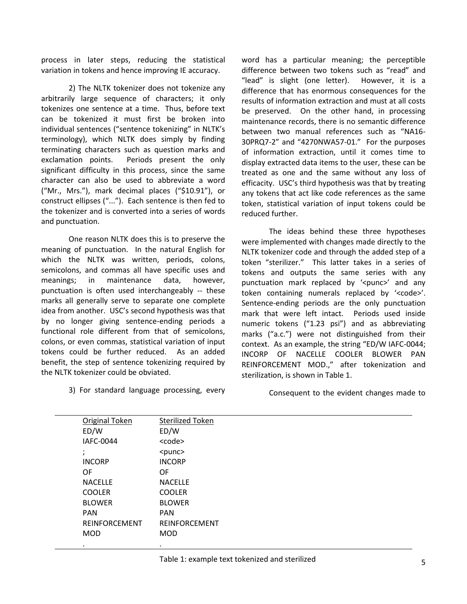process in later steps, reducing the statistical variation in tokens and hence improving IE accuracy.

2) The NLTK tokenizer does not tokenize any arbitrarily large sequence of characters; it only tokenizes one sentence at a time. Thus, before text can be tokenized it must first be broken into individual sentences ("sentence tokenizing" in NLTK's terminology), which NLTK does simply by finding terminating characters such as question marks and exclamation points. Periods present the only significant difficulty in this process, since the same character can also be used to abbreviate a word ("Mr., Mrs."), mark decimal places ("\$10.91"), or construct ellipses ("..."). Each sentence is then fed to the tokenizer and is converted into a series of words and punctuation.

One reason NLTK does this is to preserve the meaning of punctuation. In the natural English for which the NLTK was written, periods, colons, semicolons, and commas all have specific uses and meanings; in maintenance data, however, punctuation is often used interchangeably -- these marks all generally serve to separate one complete idea from another. USC's second hypothesis was that by no longer giving sentence-ending periods a functional role different from that of semicolons, colons, or even commas, statistical variation of input tokens could be further reduced. As an added benefit, the step of sentence tokenizing required by the NLTK tokenizer could be obviated.

3) For standard language processing, every

word has a particular meaning; the perceptible difference between two tokens such as "read" and "lead" is slight (one letter). However, it is a difference that has enormous consequences for the results of information extraction and must at all costs be preserved. On the other hand, in processing maintenance records, there is no semantic difference between two manual references such as "NA16- 30PRQ7-2" and "4270NWA57-01." For the purposes of information extraction, until it comes time to display extracted data items to the user, these can be treated as one and the same without any loss of efficacity. USC's third hypothesis was that by treating any tokens that act like code references as the same token, statistical variation of input tokens could be reduced further.

The ideas behind these three hypotheses were implemented with changes made directly to the NLTK tokenizer code and through the added step of a token "sterilizer." This latter takes in a series of tokens and outputs the same series with any punctuation mark replaced by '<punc>' and any token containing numerals replaced by '<code>'.</code> Sentence-ending periods are the only punctuation mark that were left intact. Periods used inside numeric tokens ("1.23 psi") and as abbreviating marks ("a.c.") were not distinguished from their context. As an example, the string "ED/W IAFC-0044; INCORP OF NACELLE COOLER BLOWER PAN REINFORCEMENT MOD.," after tokenization and sterilization, is shown in Table 1.

Consequent to the evident changes made to

| Original Token | Sterilized Token     |  |
|----------------|----------------------|--|
| ED/W           | ED/W                 |  |
| IAFC-0044      | <code></code>        |  |
|                | $<$ punc $>$         |  |
| <b>INCORP</b>  | <b>INCORP</b>        |  |
| OF             | OF                   |  |
| <b>NACELLE</b> | <b>NACELLE</b>       |  |
| <b>COOLER</b>  | <b>COOLER</b>        |  |
| <b>BLOWER</b>  | <b>BLOWER</b>        |  |
| <b>PAN</b>     | <b>PAN</b>           |  |
| REINFORCEMENT  | <b>REINFORCEMENT</b> |  |
| <b>MOD</b>     | <b>MOD</b>           |  |
| ٠              | ٠                    |  |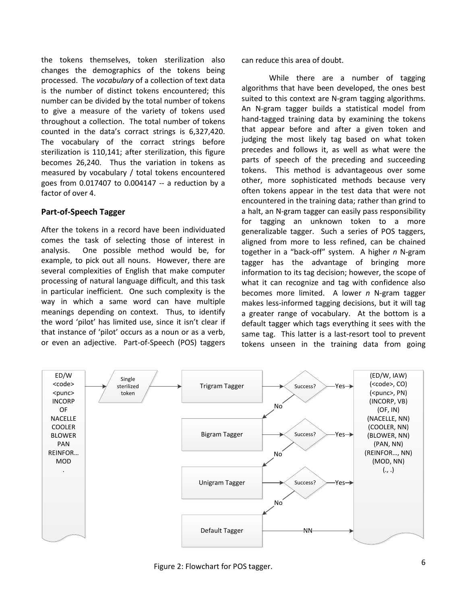the tokens themselves, token sterilization also changes the demographics of the tokens being processed. The *vocabulary* of a collection of text data is the number of distinct tokens encountered; this number can be divided by the total number of tokens to give a measure of the variety of tokens used throughout a collection. The total number of tokens counted in the data's corract strings is 6,327,420. The vocabulary of the corract strings before sterilization is 110,141; after sterilization, this figure becomes 26,240. Thus the variation in tokens as measured by vocabulary / total tokens encountered goes from 0.017407 to 0.004147 -- a reduction by a factor of over 4.

## **Part-of-Speech Tagger**

After the tokens in a record have been individuated comes the task of selecting those of interest in analysis. One possible method would be, for example, to pick out all nouns. However, there are several complexities of English that make computer processing of natural language difficult, and this task in particular inefficient. One such complexity is the way in which a same word can have multiple meanings depending on context. Thus, to identify the word 'pilot' has limited use, since it isn't clear if that instance of 'pilot' occurs as a noun or as a verb, or even an adjective. Part-of-Speech (POS) taggers

can reduce this area of doubt.

While there are a number of tagging algorithms that have been developed, the ones best suited to this context are N-gram tagging algorithms. An N-gram tagger builds a statistical model from hand-tagged training data by examining the tokens that appear before and after a given token and judging the most likely tag based on what token precedes and follows it, as well as what were the parts of speech of the preceding and succeeding tokens. This method is advantageous over some other, more sophisticated methods because very often tokens appear in the test data that were not encountered in the training data; rather than grind to a halt, an N-gram tagger can easily pass responsibility for tagging an unknown token to a more generalizable tagger. Such a series of POS taggers, aligned from more to less refined, can be chained together in a "back-off" system. A higher *n* N-gram tagger has the advantage of bringing more information to its tag decision; however, the scope of what it can recognize and tag with confidence also becomes more limited. A lower *n* N-gram tagger makes less-informed tagging decisions, but it will tag a greater range of vocabulary. At the bottom is a default tagger which tags everything it sees with the same tag. This latter is a last-resort tool to prevent tokens unseen in the training data from going



Figure 2: Flowchart for POS tagger.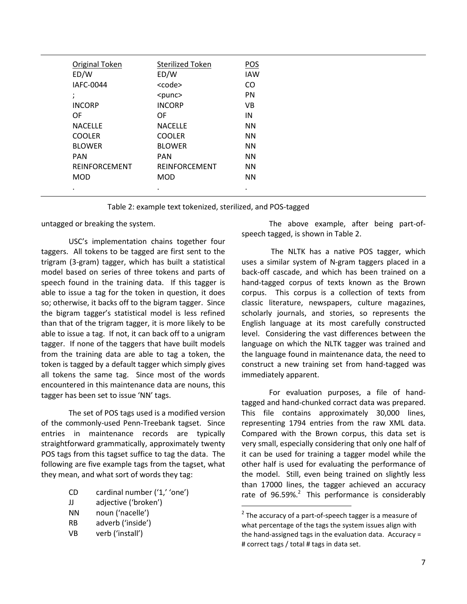| Original Token   | <b>Sterilized Token</b> | POS        |
|------------------|-------------------------|------------|
| ED/W             | ED/W                    | <b>IAW</b> |
| <b>IAFC-0044</b> | <code></code>           | CO         |
| ٠<br>$\lambda$   | $<$ punc $>$            | PN         |
| <b>INCORP</b>    | <b>INCORP</b>           | VB         |
| 0F               | OF                      | IN         |
| <b>NACELLE</b>   | <b>NACELLE</b>          | <b>NN</b>  |
| <b>COOLER</b>    | <b>COOLER</b>           | <b>NN</b>  |
| <b>BLOWER</b>    | <b>BLOWER</b>           | <b>NN</b>  |
| <b>PAN</b>       | <b>PAN</b>              | <b>NN</b>  |
| REINFORCEMENT    | REINFORCEMENT           | <b>NN</b>  |
| <b>MOD</b>       | <b>MOD</b>              | <b>NN</b>  |
| ٠                |                         |            |

 $\overline{a}$ 

Table 2: example text tokenized, sterilized, and POS-tagged

untagged or breaking the system.

USC's implementation chains together four taggers. All tokens to be tagged are first sent to the trigram (3-gram) tagger, which has built a statistical model based on series of three tokens and parts of speech found in the training data. If this tagger is able to issue a tag for the token in question, it does so; otherwise, it backs off to the bigram tagger. Since the bigram tagger's statistical model is less refined than that of the trigram tagger, it is more likely to be able to issue a tag. If not, it can back off to a unigram tagger. If none of the taggers that have built models from the training data are able to tag a token, the token is tagged by a default tagger which simply gives all tokens the same tag. Since most of the words encountered in this maintenance data are nouns, this tagger has been set to issue 'NN' tags.

The set of POS tags used is a modified version of the commonly-used Penn-Treebank tagset. Since entries in maintenance records are typically straightforward grammatically, approximately twenty POS tags from this tagset suffice to tag the data. The following are five example tags from the tagset, what they mean, and what sort of words they tag:

- CD cardinal number ('1,' 'one')
- JJ adjective ('broken')
- NN noun ('nacelle')
- RB adverb ('inside')
- VB verb ('install')

The above example, after being part-ofspeech tagged, is shown in Table 2.

The NLTK has a native POS tagger, which uses a similar system of N-gram taggers placed in a back-off cascade, and which has been trained on a hand-tagged corpus of texts known as the Brown corpus. This corpus is a collection of texts from classic literature, newspapers, culture magazines, scholarly journals, and stories, so represents the English language at its most carefully constructed level. Considering the vast differences between the language on which the NLTK tagger was trained and the language found in maintenance data, the need to construct a new training set from hand-tagged was immediately apparent.

For evaluation purposes, a file of handtagged and hand-chunked corract data was prepared. This file contains approximately 30,000 lines, representing 1794 entries from the raw XML data. Compared with the Brown corpus, this data set is very small, especially considering that only one half of it can be used for training a tagger model while the other half is used for evaluating the performance of the model. Still, even being trained on slightly less than 17000 lines, the tagger achieved an accuracy rate of  $96.59\%$ <sup>2</sup> This performance is considerably

 $2$  The accuracy of a part-of-speech tagger is a measure of what percentage of the tags the system issues align with the hand-assigned tags in the evaluation data. Accuracy = # correct tags / total # tags in data set.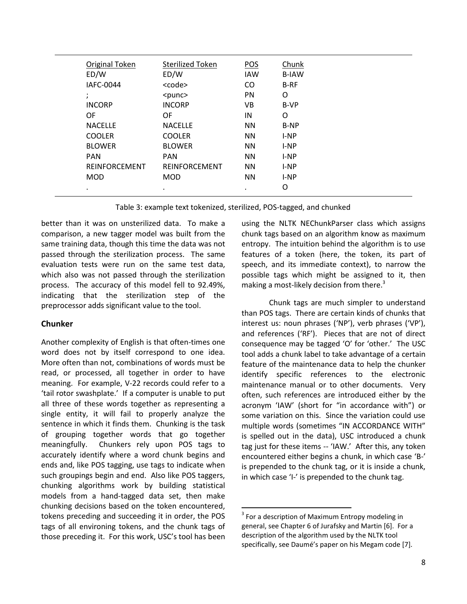| Original Token       | <b>Sterilized Token</b> | POS        | Chunk        |
|----------------------|-------------------------|------------|--------------|
| ED/W                 | ED/W                    | <b>IAW</b> | <b>B-IAW</b> |
| IAFC-0044            | <code></code>           | CO         | <b>B-RF</b>  |
| $\cdot$              | $<$ punc $>$            | <b>PN</b>  | O            |
| <b>INCORP</b>        | <b>INCORP</b>           | VB         | B-VP         |
| OF                   | OF                      | IN         | O            |
| <b>NACELLE</b>       | <b>NACELLE</b>          | <b>NN</b>  | B-NP         |
| <b>COOLER</b>        | <b>COOLER</b>           | <b>NN</b>  | I-NP         |
| <b>BLOWER</b>        | <b>BLOWER</b>           | <b>NN</b>  | $I-NP$       |
| <b>PAN</b>           | <b>PAN</b>              | <b>NN</b>  | $I-NP$       |
| <b>REINFORCEMENT</b> | <b>REINFORCEMENT</b>    | <b>NN</b>  | I-NP         |
| <b>MOD</b>           | <b>MOD</b>              | <b>NN</b>  | I-NP         |
| $\cdot$              | ٠                       | ٠          | O            |
|                      |                         |            |              |

Table 3: example text tokenized, sterilized, POS-tagged, and chunked

1

better than it was on unsterilized data. To make a comparison, a new tagger model was built from the same training data, though this time the data was not passed through the sterilization process. The same evaluation tests were run on the same test data, which also was not passed through the sterilization process. The accuracy of this model fell to 92.49%, indicating that the sterilization step of the preprocessor adds significant value to the tool.

# **Chunker**

Another complexity of English is that often-times one word does not by itself correspond to one idea. More often than not, combinations of words must be read, or processed, all together in order to have meaning. For example, V-22 records could refer to a 'tail rotor swashplate.' If a computer is unable to put all three of these words together as representing a single entity, it will fail to properly analyze the sentence in which it finds them. Chunking is the task of grouping together words that go together meaningfully. Chunkers rely upon POS tags to accurately identify where a word chunk begins and ends and, like POS tagging, use tags to indicate when such groupings begin and end. Also like POS taggers, chunking algorithms work by building statistical models from a hand-tagged data set, then make chunking decisions based on the token encountered, tokens preceding and succeeding it in order, the POS tags of all environing tokens, and the chunk tags of those preceding it. For this work, USC's tool has been

using the NLTK NEChunkParser class which assigns chunk tags based on an algorithm know as maximum entropy. The intuition behind the algorithm is to use features of a token (here, the token, its part of speech, and its immediate context), to narrow the possible tags which might be assigned to it, then making a most-likely decision from there.<sup>3</sup>

Chunk tags are much simpler to understand than POS tags. There are certain kinds of chunks that interest us: noun phrases ('NP'), verb phrases ('VP'), and references ('RF'). Pieces that are not of direct consequence may be tagged 'O' for 'other.' The USC tool adds a chunk label to take advantage of a certain feature of the maintenance data to help the chunker identify specific references to the electronic maintenance manual or to other documents. Very often, such references are introduced either by the acronym 'IAW' (short for "in accordance with") or some variation on this. Since the variation could use multiple words (sometimes "IN ACCORDANCE WITH" is spelled out in the data), USC introduced a chunk tag just for these items -- 'IAW.' After this, any token encountered either begins a chunk, in which case 'B-' is prepended to the chunk tag, or it is inside a chunk, in which case 'I-' is prepended to the chunk tag.

 $3$  For a description of Maximum Entropy modeling in general, see Chapter 6 of Jurafsky and Martin [6]. For a description of the algorithm used by the NLTK tool specifically, see Daumé's paper on his Megam code [7].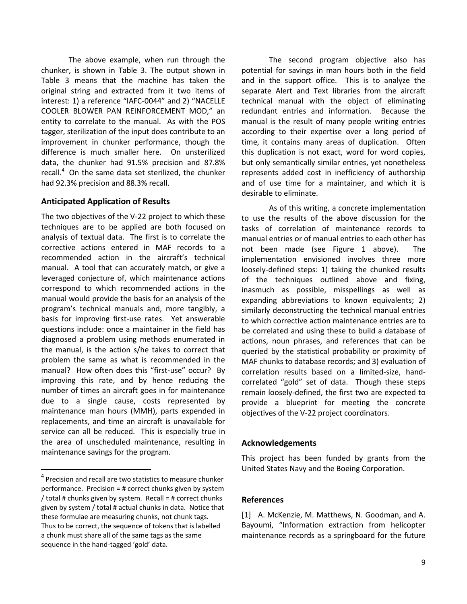The above example, when run through the chunker, is shown in Table 3. The output shown in Table 3 means that the machine has taken the original string and extracted from it two items of interest: 1) a reference "IAFC-0044" and 2) "NACELLE COOLER BLOWER PAN REINFORCEMENT MOD," an entity to correlate to the manual. As with the POS tagger, sterilization of the input does contribute to an improvement in chunker performance, though the difference is much smaller here. On unsterilized data, the chunker had 91.5% precision and 87.8% recall. $4$  On the same data set sterilized, the chunker had 92.3% precision and 88.3% recall.

## **Anticipated Application of Results**

The two objectives of the V-22 project to which these techniques are to be applied are both focused on analysis of textual data. The first is to correlate the corrective actions entered in MAF records to a recommended action in the aircraft's technical manual. A tool that can accurately match, or give a leveraged conjecture of, which maintenance actions correspond to which recommended actions in the manual would provide the basis for an analysis of the program's technical manuals and, more tangibly, a basis for improving first-use rates. Yet answerable questions include: once a maintainer in the field has diagnosed a problem using methods enumerated in the manual, is the action s/he takes to correct that problem the same as what is recommended in the manual? How often does this "first-use" occur? By improving this rate, and by hence reducing the number of times an aircraft goes in for maintenance due to a single cause, costs represented by maintenance man hours (MMH), parts expended in replacements, and time an aircraft is unavailable for service can all be reduced. This is especially true in the area of unscheduled maintenance, resulting in maintenance savings for the program.

 $\overline{\phantom{a}}$ 

The second program objective also has potential for savings in man hours both in the field and in the support office. This is to analyze the separate Alert and Text libraries from the aircraft technical manual with the object of eliminating redundant entries and information. Because the manual is the result of many people writing entries according to their expertise over a long period of time, it contains many areas of duplication. Often this duplication is not exact, word for word copies, but only semantically similar entries, yet nonetheless represents added cost in inefficiency of authorship and of use time for a maintainer, and which it is desirable to eliminate.

As of this writing, a concrete implementation to use the results of the above discussion for the tasks of correlation of maintenance records to manual entries or of manual entries to each other has not been made (see Figure 1 above). The implementation envisioned involves three more loosely-defined steps: 1) taking the chunked results of the techniques outlined above and fixing, inasmuch as possible, misspellings as well as expanding abbreviations to known equivalents; 2) similarly deconstructing the technical manual entries to which corrective action maintenance entries are to be correlated and using these to build a database of actions, noun phrases, and references that can be queried by the statistical probability or proximity of MAF chunks to database records; and 3) evaluation of correlation results based on a limited-size, handcorrelated "gold" set of data. Though these steps remain loosely-defined, the first two are expected to provide a blueprint for meeting the concrete objectives of the V-22 project coordinators.

### **Acknowledgements**

This project has been funded by grants from the United States Navy and the Boeing Corporation.

## **References**

[1] A. McKenzie, M. Matthews, N. Goodman, and A. Bayoumi, "Information extraction from helicopter maintenance records as a springboard for the future

<sup>&</sup>lt;sup>4</sup> Precision and recall are two statistics to measure chunker performance. Precision = # correct chunks given by system / total # chunks given by system. Recall = # correct chunks given by system / total # actual chunks in data. Notice that these formulae are measuring chunks, not chunk tags. Thus to be correct, the sequence of tokens that is labelled a chunk must share all of the same tags as the same sequence in the hand-tagged 'gold' data.